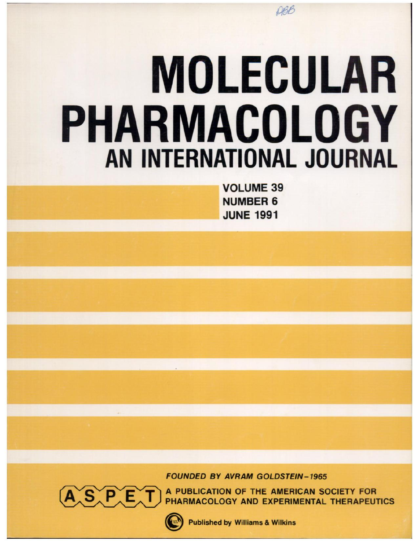# **MOLECULAR PHARMACOLOGY** AN INTERNATIONAL JOURNAL

**VOLUME 39 NUMBER 6 JUNE 1991** 

**FOUNDED BY AVRAM GOLDSTEIN-1965** 



A PUBLICATION OF THE AMERICAN SOCIETY FOR PHARMACOLOGY AND EXPERIMENTAL THERAPEUTICS



**Published by Williams & Wilkins**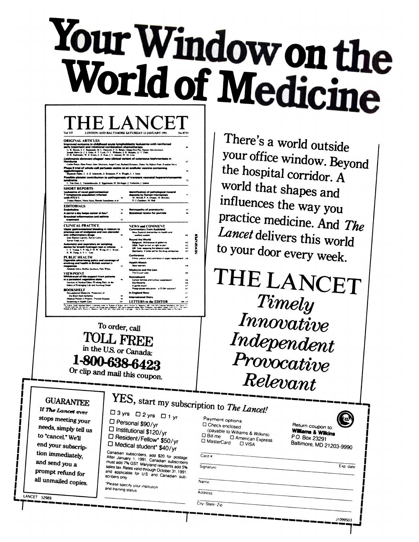# Your Window on the World of Medicine

| Vol 337                                                                                                                                                                         |                           | LONDON AND BALTIMORE SATURDAY 12 JANUARY 1991<br>No 8733                       |                   |
|---------------------------------------------------------------------------------------------------------------------------------------------------------------------------------|---------------------------|--------------------------------------------------------------------------------|-------------------|
| <b>ORIGINAL ARTICLES</b>                                                                                                                                                        |                           |                                                                                |                   |
| Improved outcome in childhood acute Ivmphoblastic leukaemis with reinforced                                                                                                     |                           |                                                                                |                   |
| early treatment and rotational combination chemotherapy                                                                                                                         |                           |                                                                                | ы                 |
| G. K. Rivera, S. C. Raimandi, M. L. Hancock, F. G. Behm, Chang-Hon Pia, Manne Abromowski,<br>Joseph Marro Jr. J. S. Ocho, A. T. Look, D. E. Williams, S. B. Murphy, G. V. Dahl, |                           |                                                                                |                   |
| D.K. Kalvandy, W.E. Evans, L. E. Kun. J.V. Samone, W. M. Cree                                                                                                                   |                           |                                                                                |                   |
| Leishmania donovani chagaai: naw clinical variant of cutanaous leishmanisais in                                                                                                 |                           |                                                                                |                   |
| <b>Honduras</b><br>Carlos Ponce, Elsa Ponce, Agoy Morroson, Angel Cruz, Rachard Kreytter, Danie McMahon-Prast, Franklin Neva                                                    |                           |                                                                                | 67                |
| Phase II trial of whole-call pertussis vecine vs an acellular vaccine containing                                                                                                |                           |                                                                                |                   |
| aggiutinogens                                                                                                                                                                   |                           |                                                                                | $\mathbf{z}$      |
| Eluzionis Maller, L. A. E. Autorontis, A. Robenson, P. A. Wagite, L. I. Irons.                                                                                                  |                           |                                                                                |                   |
| Possible platelet contribution to pathosensals of transient neonatal hyperammonaemis                                                                                            |                           |                                                                                |                   |
| syndrome                                                                                                                                                                        |                           |                                                                                | 71                |
| C. Van Geet, L. Vandenbowche, E. Eggermant, H. Devlogat, J. Vertoylen, J. Janken.                                                                                               |                           |                                                                                |                   |
| <b>SHORT REPORTS</b>                                                                                                                                                            |                           |                                                                                |                   |
| Lauksemia of novel gestroimsstinal                                                                                                                                              |                           | Identification of pathological mineral                                         |                   |
| T-lymphacyte population infected<br>web HTLV-l                                                                                                                                  | $\lambda$                 | deposits by Ramen microscopy<br>M McGdLP A Deppe, M Bowden,                    | $\overline{ }$    |
| Todao Hatun, Nono Ausa, Hatoda Sunahma, et al                                                                                                                                   |                           | D. J. Gardener, M. Hall                                                        |                   |
|                                                                                                                                                                                 |                           |                                                                                |                   |
| <b>EDITORIALS</b>                                                                                                                                                               |                           |                                                                                |                   |
| Endothalina                                                                                                                                                                     | $\mathbf{z}$<br>$\bullet$ | Retinopathy of pramaturity<br>Statistical review for journals                  | $\bullet$         |
| A carrot a day hasas cancer at bay?<br>Bronchiel inflammation and asthma                                                                                                        |                           |                                                                                |                   |
| treatment                                                                                                                                                                       | K.                        |                                                                                |                   |
|                                                                                                                                                                                 |                           |                                                                                |                   |
| CLINICAL PRACTICE                                                                                                                                                               |                           | NEWS and COMMENT                                                               |                   |
| Upper gestrointestinal blooding in relation to                                                                                                                                  |                           | <b>Commentery from Aucklend</b>                                                |                   |
| previous use of analassics and non-staroidal<br>anti-inflammatory drugs                                                                                                         |                           | New Zealand dismantles its health and                                          |                   |
| Joan-Raman Laporte, Xavier Carne.                                                                                                                                               |                           | wertere system                                                                 | юı                |
| <b>Xene Vidal, et al.</b>                                                                                                                                                       |                           | <b>Round the World</b>                                                         |                   |
| Automatic and expiratory air sampling                                                                                                                                           |                           | <b>Belgium Withdrawal of glatering</b><br>USA. Replit to live or right to die? | <b>H32</b><br>102 |
| device for breath hydrogen test in infants                                                                                                                                      |                           | UK. Side imapping the tobacco code                                             | m                 |
| CY Young, Y P Ma, F H W Wong, H C Kum.<br><b>K W Fung. A Y C Tum</b>                                                                                                            |                           | Germany. A brite pit for the drug companies                                    | <b>IO1</b>        |
|                                                                                                                                                                                 |                           | Conference                                                                     |                   |
| PUBLIC HEALTH                                                                                                                                                                   |                           | Ethica, justice and commerce in organ replacement 108                          |                   |
| Cigarette advertising policy and coverage of<br>smoking and health in British women's                                                                                           |                           | <b>Health Watch</b>                                                            |                   |
| megazines                                                                                                                                                                       |                           | Stow teamers                                                                   | ы                 |
| Amanda Amuu, Bubbar Jacobum, Patti Where                                                                                                                                        |                           | Medicine and the Law                                                           |                   |
| <b>VIEWPOINT</b>                                                                                                                                                                |                           | The Cruzen case                                                                | <b>HOT</b>        |
| Withdrawal of life-support from patients                                                                                                                                        |                           | <b>Noticeboard</b>                                                             |                   |
| in a persistent vegetative state                                                                                                                                                |                           | Cancer families and tumour suppression                                         | <b>COL</b>        |
| Institute of Medical Ethics Working Parts on the                                                                                                                                |                           | <b>Developments</b>                                                            | юh                |
| Ethics of Prolonging Life and Assetting Death                                                                                                                                   |                           | A contic touch                                                                 | ы¢                |
| BOOKSHELF                                                                                                                                                                       |                           | Postgraduate education - a £5.8m solution?                                     | ыC                |
| <b>Occupational Medicine Protection of</b>                                                                                                                                      |                           | In England Now                                                                 | w                 |
| the Brain from lachemia<br>Medical Power in Preons. Thyroid Disease                                                                                                             |                           | <b>International Diary</b>                                                     | to:               |
| Screening in Health Care                                                                                                                                                        | KO <sup>1</sup>           | LETTERS to the EDITOR                                                          | 100.1%            |

To order, call **TOLL FREE** in the U.S. or Canada: 1-800-638-6423 Or clip and mail this coupon.

□

There's a world outside your office window. Beyond the hospital corridor. A world that shapes and influences the way you practice medicine. And The Lancet delivers this world to your door every week.

THE LANCET Timely  $\it Innovative$ Independent Provocative Relevant

If The Lancet ever stops meeting your needs, simply tell us to "cancel." We'll end your subscription immediately, and send you a prompt refund for all unmailed copies.

**GUARANTEE** 

|                              | <b>E.S.</b> start my subscription to The Lancet! |  |
|------------------------------|--------------------------------------------------|--|
| $3 \text{vrs}$ $\Box$ $\Box$ |                                                  |  |

 $Card \nparallel$ 

Signature

Name

Address

City State

'yrs □2 yrs □1 yr □ Personal \$90/yr

□ Institutional \$120/yr

□ Resident/Fellow\* \$50/yr

D Medical student\* \$40/yr

Canadian subscribers, add \$20 for postage<br>After January 1, 1991, Canadian subscribers<br>must add 7% GST Maryland residents add 5%<br>sales to: Daton union thermal Orsidents add 5% Sales tax. Rates valid through October 31, 1991 and applicable for U.S and Canadian sub-<br>scribers only

\*Please specify your institution and training status

| Payment options:                                                |  |
|-----------------------------------------------------------------|--|
| D Check enclosed                                                |  |
| (payable to Williams & Wilkins)                                 |  |
| コ Bill me □ American Express<br>J MasterCard<br>D <sub>WC</sub> |  |

|                                      | Return            |
|--------------------------------------|-------------------|
| ns & Wilkins).                       | William           |
| <sup>erican Express</sup><br>l VISA. | P.O.Bo<br>Baltimo |



Exp date

J1099S03

coupon to: ns & Wilkins x 23291 re, MD 21203-9990

| $\overline{Z_{1D}}$ |  |
|---------------------|--|

LANCET 52989